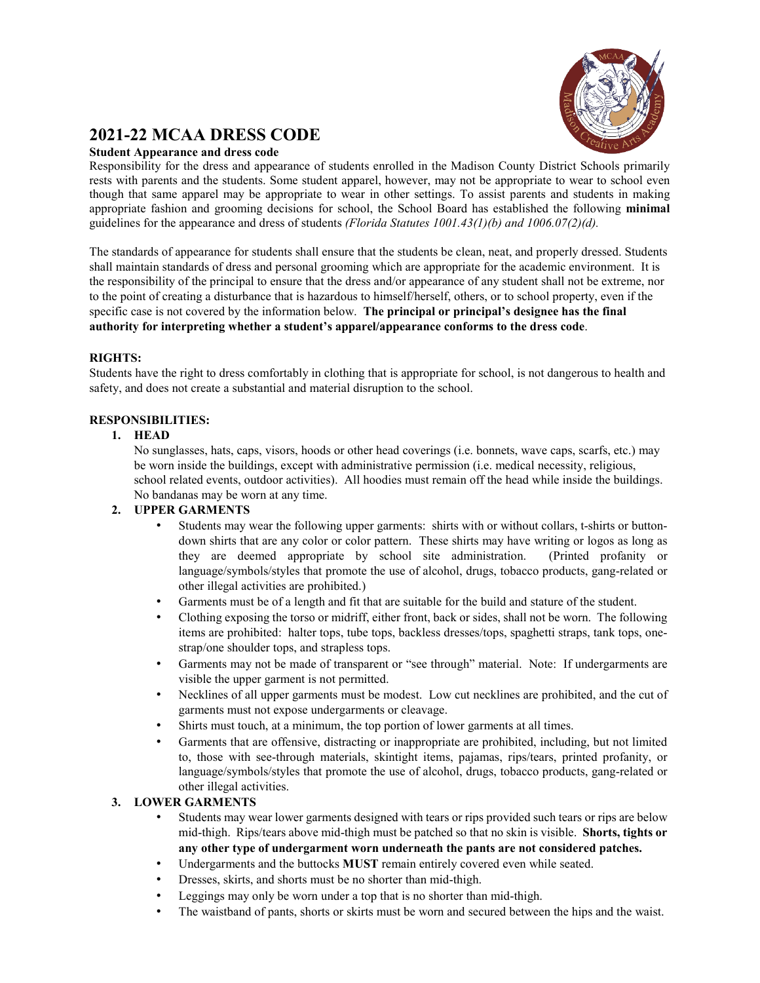

# **2021-22 MCAA DRESS CODE**

## **Student Appearance and dress code**

Responsibility for the dress and appearance of students enrolled in the Madison County District Schools primarily rests with parents and the students. Some student apparel, however, may not be appropriate to wear to school even though that same apparel may be appropriate to wear in other settings. To assist parents and students in making appropriate fashion and grooming decisions for school, the School Board has established the following **minimal** guidelines for the appearance and dress of students *(Florida Statutes 1001.43(1)(b) and 1006.07(2)(d).*

The standards of appearance for students shall ensure that the students be clean, neat, and properly dressed. Students shall maintain standards of dress and personal grooming which are appropriate for the academic environment. It is the responsibility of the principal to ensure that the dress and/or appearance of any student shall not be extreme, nor to the point of creating a disturbance that is hazardous to himself/herself, others, or to school property, even if the specific case is not covered by the information below. **The principal or principal's designee has the final authority for interpreting whether a student's apparel/appearance conforms to the dress code**.

# **RIGHTS:**

Students have the right to dress comfortably in clothing that is appropriate for school, is not dangerous to health and safety, and does not create a substantial and material disruption to the school.

# **RESPONSIBILITIES:**

## **1. HEAD**

No sunglasses, hats, caps, visors, hoods or other head coverings (i.e. bonnets, wave caps, scarfs, etc.) may be worn inside the buildings, except with administrative permission (i.e. medical necessity, religious, school related events, outdoor activities). All hoodies must remain off the head while inside the buildings. No bandanas may be worn at any time.

## **2. UPPER GARMENTS**

- Students may wear the following upper garments: shirts with or without collars, t-shirts or buttondown shirts that are any color or color pattern. These shirts may have writing or logos as long as they are deemed appropriate by school site administration. (Printed profanity or language/symbols/styles that promote the use of alcohol, drugs, tobacco products, gang-related or other illegal activities are prohibited.)
- Garments must be of a length and fit that are suitable for the build and stature of the student.
- Clothing exposing the torso or midriff, either front, back or sides, shall not be worn. The following items are prohibited: halter tops, tube tops, backless dresses/tops, spaghetti straps, tank tops, onestrap/one shoulder tops, and strapless tops.
- Garments may not be made of transparent or "see through" material. Note: If undergarments are visible the upper garment is not permitted.
- Necklines of all upper garments must be modest. Low cut necklines are prohibited, and the cut of garments must not expose undergarments or cleavage.
- Shirts must touch, at a minimum, the top portion of lower garments at all times.
- Garments that are offensive, distracting or inappropriate are prohibited, including, but not limited to, those with see-through materials, skintight items, pajamas, rips/tears, printed profanity, or language/symbols/styles that promote the use of alcohol, drugs, tobacco products, gang-related or other illegal activities.

# **3. LOWER GARMENTS**

- Students may wear lower garments designed with tears or rips provided such tears or rips are below mid-thigh. Rips/tears above mid-thigh must be patched so that no skin is visible. **Shorts, tights or any other type of undergarment worn underneath the pants are not considered patches.**
- Undergarments and the buttocks **MUST** remain entirely covered even while seated.
- Dresses, skirts, and shorts must be no shorter than mid-thigh.
- Leggings may only be worn under a top that is no shorter than mid-thigh.
- The waistband of pants, shorts or skirts must be worn and secured between the hips and the waist.